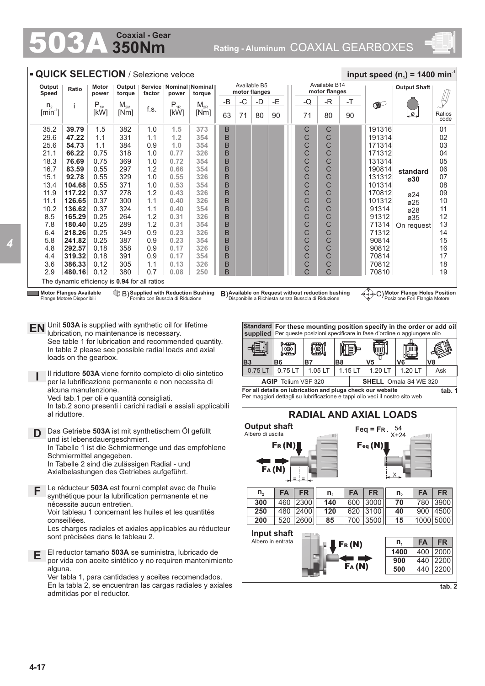# **350Nm Coaxial - Gear**

503A **Rating - Aluminum** COAXIAL GEARBOXES



| Available B14<br>Available B5<br>Output<br>Motor<br>Output  <br>Service   Nominal   Nominal<br>Ratio<br>motor flanges<br>motor flanges<br>Speed<br>power<br>torque<br>factor<br>power<br>torque<br>$-B$<br>-C<br>-Е<br>-Q<br>-R<br>-T<br>-D<br>$P_{1M}$<br>$P_{1R}$<br>$\bullet$<br>$\mathsf{M}_{\mathsf{2M}}$<br>$\mathsf{M}_{\mathsf{2R}}$<br>n <sub>2</sub><br>i<br>f.s.<br>$[min^{-1}]$<br>[kW]<br>[kW]<br>[Nm]<br>[Nm]<br>Ø.<br>63<br>90<br>71<br>90<br>71<br>80<br>80<br>С<br>39.79<br>382<br>373<br>B<br>35.2<br>1.5<br>1.0<br>1.5<br>С<br>191316<br>B<br>C<br>C<br>29.6<br>47.22<br>1.1<br>331<br>1.2<br>354<br>191314<br>1.1<br>25.6<br>384<br>B<br>C<br>54.73<br>1.1<br>354<br>С<br>171314<br>0.9<br>1.0<br>C<br>C<br>B<br>21.1<br>66.22<br>0.75<br>318<br>1.0<br>0.77<br>326<br>171312<br>0.75<br>B<br>C<br>C<br>18.3<br>76.69<br>369<br>0.72<br>354<br>131314<br>1.0<br>0.55<br>B<br>C<br>C<br>16.7<br>83.59<br>297<br>1.2<br>0.66<br>354<br>190814<br>standard<br>0.55<br>329<br>B<br>C<br>С<br>15.1<br>92.78<br>1.0<br>0.55<br>326<br>131312<br>ø30<br>C<br>C<br>13.4<br>104.68<br>0.55<br>371<br>1.0<br>0.53<br>354<br>B<br>101314<br>11.9<br>117.22<br>0.37<br>1.2<br>326<br>B<br>C<br>C<br>278<br>0.43<br>170812<br>ø24<br>C<br>C<br>11.1<br>126.65<br>0.37<br>300<br>1.1<br>0.40<br>326<br>B<br>101312<br>ø25<br>B<br>C<br>C<br>10.2<br>136.62<br>0.37<br>324<br>1.1<br>354<br>91314<br>0.40<br>ø28<br>C<br>C<br>B<br>8.5<br>165.29<br>0.25<br>264<br>1.2<br>0.31<br>326<br>91312<br>ø35<br>0.25<br>1.2<br>B<br>C<br>C<br>7.8<br>180.40<br>289<br>0.31<br>354<br>71314<br>C<br>B<br>C<br>218.26<br>0.25<br>349<br>0.9<br>0.23<br>326<br>71312<br>6.4<br>5.8<br>0.25<br>387<br>B<br>C<br>C<br>241.82<br>0.23<br>354<br>90814<br>0.9<br>C<br>C<br>358<br>326<br>B<br>4.8<br>292.57<br>0.18<br>0.9<br>0.17<br>90812<br>B<br>C<br>C<br>319.32<br>0.18<br>391<br>0.9<br>354<br>70814<br>4.4<br>0.17<br>C<br>3.6<br>386.33<br>0.12<br>305<br>326<br>B<br>С<br>70812<br>1.1<br>0.13<br>380<br>B<br>C<br>C<br>2.9<br>480.16<br>0.12<br>0.7<br>0.08<br>250<br>70810<br>The dynamic efficiency is 0.94 for all ratios<br><b>Motor Flanges Available</b><br><b>B</b> ) Supplied with Reduction Bushing<br>B) Available on Request without reduction bushing<br>C) Motor Flange Holes Position<br>Flange Motore Disponibili<br>Fornito con Bussola di Riduzione<br>Disponibile a Richiesta senza Bussola di Riduzione<br>Posizione Fori Flangia Motore<br>EN Unit 503A is supplied with synthetic oil for lifetime<br>Standard For these mounting position specify in the order or add oil<br>lubrication, no maintenance is necessary.<br>supplied   Per queste posizioni specificare in fase d'ordine o aggiungere olio<br>See table 1 for lubrication and recommended quantity.<br>ې<br><b>ISI</b><br><u>lo (</u><br>In table 2 please see possible radial loads and axial<br>החו<br>loads on the gearbox.<br><b>B8</b><br>V <sub>5</sub><br><b>B3</b><br><b>B6</b><br>B7<br>V6<br>0.75 LT<br>0.75 LT<br>1.05 LT<br>1.20 LT<br>1.20 LT<br>1.15 LT<br>Il riduttore 503A viene fornito completo di olio sintetico<br>per la lubrificazione permanente e non necessita di<br><b>AGIP</b> Telium VSF 320<br><b>SHELL</b> Omala S4 WE 320<br>alcuna manutenzione.<br>For all details on lubrication and plugs check our website<br>Per maggiori dettagli su lubrificazione e tappi olio vedi il nostro sito web<br>Vedi tab.1 per oli e quantità consigliati.<br>In tab.2 sono presenti i carichi radiali e assiali applicabili<br><b>RADIAL AND AXIAL LOADS</b><br>al riduttore.<br><b>Output shaft</b><br>Feq = FR. $\frac{54}{X+24}$<br>Das Getriebe 503A ist mit synthetischem Öl gefüllt<br>D<br>Albero di uscita<br>und ist lebensdauergeschmiert.<br>$F_R(N)$<br>$\mathbf{F}_{\text{eq}}(\mathbf{N})$<br>In Tabelle 1 ist die Schmiermenge und das empfohlene<br>Schmiermittel angegeben.<br>In Tabelle 2 sind die zulässigen Radial - und | <b>QUICK SELECTION / Selezione veloce</b><br>input speed (n <sub>1</sub> ) = 1400 min <sup>-1</sup> |  |  |  |  |  |  |  |  |  |  |  |                     |  |  |            |                                                                                                       |
|-------------------------------------------------------------------------------------------------------------------------------------------------------------------------------------------------------------------------------------------------------------------------------------------------------------------------------------------------------------------------------------------------------------------------------------------------------------------------------------------------------------------------------------------------------------------------------------------------------------------------------------------------------------------------------------------------------------------------------------------------------------------------------------------------------------------------------------------------------------------------------------------------------------------------------------------------------------------------------------------------------------------------------------------------------------------------------------------------------------------------------------------------------------------------------------------------------------------------------------------------------------------------------------------------------------------------------------------------------------------------------------------------------------------------------------------------------------------------------------------------------------------------------------------------------------------------------------------------------------------------------------------------------------------------------------------------------------------------------------------------------------------------------------------------------------------------------------------------------------------------------------------------------------------------------------------------------------------------------------------------------------------------------------------------------------------------------------------------------------------------------------------------------------------------------------------------------------------------------------------------------------------------------------------------------------------------------------------------------------------------------------------------------------------------------------------------------------------------------------------------------------------------------------------------------------------------------------------------------------------------------------------------------------------------------------------------------------------------------------------------------------------------------------------------------------------------------------------------------------------------------------------------------------------------------------------------------------------------------------------------------------------------------------------------------------------------------------------------------------------------------------------------------------------------------------------------------------------------------------------------------------------------------------------------------------------------------------------------------------------------------------------------------------------------------------------------------------------------------------------------------------------------------------------------------------------------------------------------------------------------------------------------------------------------------------------------------------------------------------------------------------------------------------------------------------------------------------------------------------------------------------------------------------------------------------------------------|-----------------------------------------------------------------------------------------------------|--|--|--|--|--|--|--|--|--|--|--|---------------------|--|--|------------|-------------------------------------------------------------------------------------------------------|
|                                                                                                                                                                                                                                                                                                                                                                                                                                                                                                                                                                                                                                                                                                                                                                                                                                                                                                                                                                                                                                                                                                                                                                                                                                                                                                                                                                                                                                                                                                                                                                                                                                                                                                                                                                                                                                                                                                                                                                                                                                                                                                                                                                                                                                                                                                                                                                                                                                                                                                                                                                                                                                                                                                                                                                                                                                                                                                                                                                                                                                                                                                                                                                                                                                                                                                                                                                                                                                                                                                                                                                                                                                                                                                                                                                                                                                                                                                                                                       |                                                                                                     |  |  |  |  |  |  |  |  |  |  |  | <b>Output Shaft</b> |  |  |            |                                                                                                       |
|                                                                                                                                                                                                                                                                                                                                                                                                                                                                                                                                                                                                                                                                                                                                                                                                                                                                                                                                                                                                                                                                                                                                                                                                                                                                                                                                                                                                                                                                                                                                                                                                                                                                                                                                                                                                                                                                                                                                                                                                                                                                                                                                                                                                                                                                                                                                                                                                                                                                                                                                                                                                                                                                                                                                                                                                                                                                                                                                                                                                                                                                                                                                                                                                                                                                                                                                                                                                                                                                                                                                                                                                                                                                                                                                                                                                                                                                                                                                                       |                                                                                                     |  |  |  |  |  |  |  |  |  |  |  |                     |  |  |            |                                                                                                       |
|                                                                                                                                                                                                                                                                                                                                                                                                                                                                                                                                                                                                                                                                                                                                                                                                                                                                                                                                                                                                                                                                                                                                                                                                                                                                                                                                                                                                                                                                                                                                                                                                                                                                                                                                                                                                                                                                                                                                                                                                                                                                                                                                                                                                                                                                                                                                                                                                                                                                                                                                                                                                                                                                                                                                                                                                                                                                                                                                                                                                                                                                                                                                                                                                                                                                                                                                                                                                                                                                                                                                                                                                                                                                                                                                                                                                                                                                                                                                                       |                                                                                                     |  |  |  |  |  |  |  |  |  |  |  |                     |  |  |            | Ratios                                                                                                |
|                                                                                                                                                                                                                                                                                                                                                                                                                                                                                                                                                                                                                                                                                                                                                                                                                                                                                                                                                                                                                                                                                                                                                                                                                                                                                                                                                                                                                                                                                                                                                                                                                                                                                                                                                                                                                                                                                                                                                                                                                                                                                                                                                                                                                                                                                                                                                                                                                                                                                                                                                                                                                                                                                                                                                                                                                                                                                                                                                                                                                                                                                                                                                                                                                                                                                                                                                                                                                                                                                                                                                                                                                                                                                                                                                                                                                                                                                                                                                       |                                                                                                     |  |  |  |  |  |  |  |  |  |  |  |                     |  |  |            | code<br>01                                                                                            |
|                                                                                                                                                                                                                                                                                                                                                                                                                                                                                                                                                                                                                                                                                                                                                                                                                                                                                                                                                                                                                                                                                                                                                                                                                                                                                                                                                                                                                                                                                                                                                                                                                                                                                                                                                                                                                                                                                                                                                                                                                                                                                                                                                                                                                                                                                                                                                                                                                                                                                                                                                                                                                                                                                                                                                                                                                                                                                                                                                                                                                                                                                                                                                                                                                                                                                                                                                                                                                                                                                                                                                                                                                                                                                                                                                                                                                                                                                                                                                       |                                                                                                     |  |  |  |  |  |  |  |  |  |  |  |                     |  |  |            | 02                                                                                                    |
|                                                                                                                                                                                                                                                                                                                                                                                                                                                                                                                                                                                                                                                                                                                                                                                                                                                                                                                                                                                                                                                                                                                                                                                                                                                                                                                                                                                                                                                                                                                                                                                                                                                                                                                                                                                                                                                                                                                                                                                                                                                                                                                                                                                                                                                                                                                                                                                                                                                                                                                                                                                                                                                                                                                                                                                                                                                                                                                                                                                                                                                                                                                                                                                                                                                                                                                                                                                                                                                                                                                                                                                                                                                                                                                                                                                                                                                                                                                                                       |                                                                                                     |  |  |  |  |  |  |  |  |  |  |  |                     |  |  |            | 03                                                                                                    |
|                                                                                                                                                                                                                                                                                                                                                                                                                                                                                                                                                                                                                                                                                                                                                                                                                                                                                                                                                                                                                                                                                                                                                                                                                                                                                                                                                                                                                                                                                                                                                                                                                                                                                                                                                                                                                                                                                                                                                                                                                                                                                                                                                                                                                                                                                                                                                                                                                                                                                                                                                                                                                                                                                                                                                                                                                                                                                                                                                                                                                                                                                                                                                                                                                                                                                                                                                                                                                                                                                                                                                                                                                                                                                                                                                                                                                                                                                                                                                       |                                                                                                     |  |  |  |  |  |  |  |  |  |  |  |                     |  |  |            | 04                                                                                                    |
|                                                                                                                                                                                                                                                                                                                                                                                                                                                                                                                                                                                                                                                                                                                                                                                                                                                                                                                                                                                                                                                                                                                                                                                                                                                                                                                                                                                                                                                                                                                                                                                                                                                                                                                                                                                                                                                                                                                                                                                                                                                                                                                                                                                                                                                                                                                                                                                                                                                                                                                                                                                                                                                                                                                                                                                                                                                                                                                                                                                                                                                                                                                                                                                                                                                                                                                                                                                                                                                                                                                                                                                                                                                                                                                                                                                                                                                                                                                                                       |                                                                                                     |  |  |  |  |  |  |  |  |  |  |  |                     |  |  |            | 05                                                                                                    |
|                                                                                                                                                                                                                                                                                                                                                                                                                                                                                                                                                                                                                                                                                                                                                                                                                                                                                                                                                                                                                                                                                                                                                                                                                                                                                                                                                                                                                                                                                                                                                                                                                                                                                                                                                                                                                                                                                                                                                                                                                                                                                                                                                                                                                                                                                                                                                                                                                                                                                                                                                                                                                                                                                                                                                                                                                                                                                                                                                                                                                                                                                                                                                                                                                                                                                                                                                                                                                                                                                                                                                                                                                                                                                                                                                                                                                                                                                                                                                       |                                                                                                     |  |  |  |  |  |  |  |  |  |  |  |                     |  |  |            | 06                                                                                                    |
|                                                                                                                                                                                                                                                                                                                                                                                                                                                                                                                                                                                                                                                                                                                                                                                                                                                                                                                                                                                                                                                                                                                                                                                                                                                                                                                                                                                                                                                                                                                                                                                                                                                                                                                                                                                                                                                                                                                                                                                                                                                                                                                                                                                                                                                                                                                                                                                                                                                                                                                                                                                                                                                                                                                                                                                                                                                                                                                                                                                                                                                                                                                                                                                                                                                                                                                                                                                                                                                                                                                                                                                                                                                                                                                                                                                                                                                                                                                                                       |                                                                                                     |  |  |  |  |  |  |  |  |  |  |  |                     |  |  |            | 07<br>08                                                                                              |
|                                                                                                                                                                                                                                                                                                                                                                                                                                                                                                                                                                                                                                                                                                                                                                                                                                                                                                                                                                                                                                                                                                                                                                                                                                                                                                                                                                                                                                                                                                                                                                                                                                                                                                                                                                                                                                                                                                                                                                                                                                                                                                                                                                                                                                                                                                                                                                                                                                                                                                                                                                                                                                                                                                                                                                                                                                                                                                                                                                                                                                                                                                                                                                                                                                                                                                                                                                                                                                                                                                                                                                                                                                                                                                                                                                                                                                                                                                                                                       |                                                                                                     |  |  |  |  |  |  |  |  |  |  |  |                     |  |  |            | 09                                                                                                    |
|                                                                                                                                                                                                                                                                                                                                                                                                                                                                                                                                                                                                                                                                                                                                                                                                                                                                                                                                                                                                                                                                                                                                                                                                                                                                                                                                                                                                                                                                                                                                                                                                                                                                                                                                                                                                                                                                                                                                                                                                                                                                                                                                                                                                                                                                                                                                                                                                                                                                                                                                                                                                                                                                                                                                                                                                                                                                                                                                                                                                                                                                                                                                                                                                                                                                                                                                                                                                                                                                                                                                                                                                                                                                                                                                                                                                                                                                                                                                                       |                                                                                                     |  |  |  |  |  |  |  |  |  |  |  |                     |  |  |            | 10                                                                                                    |
|                                                                                                                                                                                                                                                                                                                                                                                                                                                                                                                                                                                                                                                                                                                                                                                                                                                                                                                                                                                                                                                                                                                                                                                                                                                                                                                                                                                                                                                                                                                                                                                                                                                                                                                                                                                                                                                                                                                                                                                                                                                                                                                                                                                                                                                                                                                                                                                                                                                                                                                                                                                                                                                                                                                                                                                                                                                                                                                                                                                                                                                                                                                                                                                                                                                                                                                                                                                                                                                                                                                                                                                                                                                                                                                                                                                                                                                                                                                                                       |                                                                                                     |  |  |  |  |  |  |  |  |  |  |  |                     |  |  |            | 11                                                                                                    |
|                                                                                                                                                                                                                                                                                                                                                                                                                                                                                                                                                                                                                                                                                                                                                                                                                                                                                                                                                                                                                                                                                                                                                                                                                                                                                                                                                                                                                                                                                                                                                                                                                                                                                                                                                                                                                                                                                                                                                                                                                                                                                                                                                                                                                                                                                                                                                                                                                                                                                                                                                                                                                                                                                                                                                                                                                                                                                                                                                                                                                                                                                                                                                                                                                                                                                                                                                                                                                                                                                                                                                                                                                                                                                                                                                                                                                                                                                                                                                       |                                                                                                     |  |  |  |  |  |  |  |  |  |  |  |                     |  |  |            | 12                                                                                                    |
|                                                                                                                                                                                                                                                                                                                                                                                                                                                                                                                                                                                                                                                                                                                                                                                                                                                                                                                                                                                                                                                                                                                                                                                                                                                                                                                                                                                                                                                                                                                                                                                                                                                                                                                                                                                                                                                                                                                                                                                                                                                                                                                                                                                                                                                                                                                                                                                                                                                                                                                                                                                                                                                                                                                                                                                                                                                                                                                                                                                                                                                                                                                                                                                                                                                                                                                                                                                                                                                                                                                                                                                                                                                                                                                                                                                                                                                                                                                                                       |                                                                                                     |  |  |  |  |  |  |  |  |  |  |  |                     |  |  | On request | 13                                                                                                    |
|                                                                                                                                                                                                                                                                                                                                                                                                                                                                                                                                                                                                                                                                                                                                                                                                                                                                                                                                                                                                                                                                                                                                                                                                                                                                                                                                                                                                                                                                                                                                                                                                                                                                                                                                                                                                                                                                                                                                                                                                                                                                                                                                                                                                                                                                                                                                                                                                                                                                                                                                                                                                                                                                                                                                                                                                                                                                                                                                                                                                                                                                                                                                                                                                                                                                                                                                                                                                                                                                                                                                                                                                                                                                                                                                                                                                                                                                                                                                                       |                                                                                                     |  |  |  |  |  |  |  |  |  |  |  |                     |  |  |            | 14                                                                                                    |
|                                                                                                                                                                                                                                                                                                                                                                                                                                                                                                                                                                                                                                                                                                                                                                                                                                                                                                                                                                                                                                                                                                                                                                                                                                                                                                                                                                                                                                                                                                                                                                                                                                                                                                                                                                                                                                                                                                                                                                                                                                                                                                                                                                                                                                                                                                                                                                                                                                                                                                                                                                                                                                                                                                                                                                                                                                                                                                                                                                                                                                                                                                                                                                                                                                                                                                                                                                                                                                                                                                                                                                                                                                                                                                                                                                                                                                                                                                                                                       |                                                                                                     |  |  |  |  |  |  |  |  |  |  |  |                     |  |  |            | 15                                                                                                    |
|                                                                                                                                                                                                                                                                                                                                                                                                                                                                                                                                                                                                                                                                                                                                                                                                                                                                                                                                                                                                                                                                                                                                                                                                                                                                                                                                                                                                                                                                                                                                                                                                                                                                                                                                                                                                                                                                                                                                                                                                                                                                                                                                                                                                                                                                                                                                                                                                                                                                                                                                                                                                                                                                                                                                                                                                                                                                                                                                                                                                                                                                                                                                                                                                                                                                                                                                                                                                                                                                                                                                                                                                                                                                                                                                                                                                                                                                                                                                                       |                                                                                                     |  |  |  |  |  |  |  |  |  |  |  |                     |  |  |            | 16<br>17                                                                                              |
|                                                                                                                                                                                                                                                                                                                                                                                                                                                                                                                                                                                                                                                                                                                                                                                                                                                                                                                                                                                                                                                                                                                                                                                                                                                                                                                                                                                                                                                                                                                                                                                                                                                                                                                                                                                                                                                                                                                                                                                                                                                                                                                                                                                                                                                                                                                                                                                                                                                                                                                                                                                                                                                                                                                                                                                                                                                                                                                                                                                                                                                                                                                                                                                                                                                                                                                                                                                                                                                                                                                                                                                                                                                                                                                                                                                                                                                                                                                                                       |                                                                                                     |  |  |  |  |  |  |  |  |  |  |  |                     |  |  |            | 18                                                                                                    |
|                                                                                                                                                                                                                                                                                                                                                                                                                                                                                                                                                                                                                                                                                                                                                                                                                                                                                                                                                                                                                                                                                                                                                                                                                                                                                                                                                                                                                                                                                                                                                                                                                                                                                                                                                                                                                                                                                                                                                                                                                                                                                                                                                                                                                                                                                                                                                                                                                                                                                                                                                                                                                                                                                                                                                                                                                                                                                                                                                                                                                                                                                                                                                                                                                                                                                                                                                                                                                                                                                                                                                                                                                                                                                                                                                                                                                                                                                                                                                       |                                                                                                     |  |  |  |  |  |  |  |  |  |  |  |                     |  |  |            | 19                                                                                                    |
|                                                                                                                                                                                                                                                                                                                                                                                                                                                                                                                                                                                                                                                                                                                                                                                                                                                                                                                                                                                                                                                                                                                                                                                                                                                                                                                                                                                                                                                                                                                                                                                                                                                                                                                                                                                                                                                                                                                                                                                                                                                                                                                                                                                                                                                                                                                                                                                                                                                                                                                                                                                                                                                                                                                                                                                                                                                                                                                                                                                                                                                                                                                                                                                                                                                                                                                                                                                                                                                                                                                                                                                                                                                                                                                                                                                                                                                                                                                                                       |                                                                                                     |  |  |  |  |  |  |  |  |  |  |  |                     |  |  |            |                                                                                                       |
|                                                                                                                                                                                                                                                                                                                                                                                                                                                                                                                                                                                                                                                                                                                                                                                                                                                                                                                                                                                                                                                                                                                                                                                                                                                                                                                                                                                                                                                                                                                                                                                                                                                                                                                                                                                                                                                                                                                                                                                                                                                                                                                                                                                                                                                                                                                                                                                                                                                                                                                                                                                                                                                                                                                                                                                                                                                                                                                                                                                                                                                                                                                                                                                                                                                                                                                                                                                                                                                                                                                                                                                                                                                                                                                                                                                                                                                                                                                                                       |                                                                                                     |  |  |  |  |  |  |  |  |  |  |  |                     |  |  | V8         | Ask<br>tab. 1                                                                                         |
| FA(M)<br>Axialbelastungen des Getriebes aufgeführt.<br>=<br>Le réducteur 503A est fourni complet avec de l'huile<br>F<br><b>FA</b><br><b>FR</b><br><b>FA</b><br>$n_{2}$<br>FA<br><b>FR</b><br>$n_{2}$<br>$n_{2}$<br>synthétique pour la lubrification permanente et ne<br>2300<br>3000<br>460<br>140<br>600<br>70<br>300<br>nécessite aucun entretien.<br>480 2400<br>120<br>620 3100<br>250<br>40<br>Voir tableau 1 concernant les huiles et les quantités<br>520 2600<br>700 3500<br>200<br>85<br>15<br>conseillées.<br>Les charges radiales et axiales applicables au réducteur<br>Input shaft<br>sont précisées dans le tableau 2.<br>Albero in entrata<br><b>FA</b><br>$n_{1}$<br>$F_R(N)$<br>1400<br>El reductor tamaño 503A se suministra, lubricado de<br>Е<br>900<br>por vida con aceite sintético y no requiren mantenimiento<br>FA(N)<br>alguna.<br>500<br>Ver tabla 1, para cantidades y aceites recomendados.<br>En la tabla 2, se encuentran las cargas radiales y axiales                                                                                                                                                                                                                                                                                                                                                                                                                                                                                                                                                                                                                                                                                                                                                                                                                                                                                                                                                                                                                                                                                                                                                                                                                                                                                                                                                                                                                                                                                                                                                                                                                                                                                                                                                                                                                                                                                                                                                                                                                                                                                                                                                                                                                                                                                                                                                                                                                                                                                                                                                                                                                                                                                                                                                                                                                                                                                                                                                              |                                                                                                     |  |  |  |  |  |  |  |  |  |  |  |                     |  |  | 400        | <b>FR</b><br>780 3900<br>900 4500<br>1000 5000<br><b>FR</b><br>2000<br>440 2200<br>440 2200<br>tab. 2 |